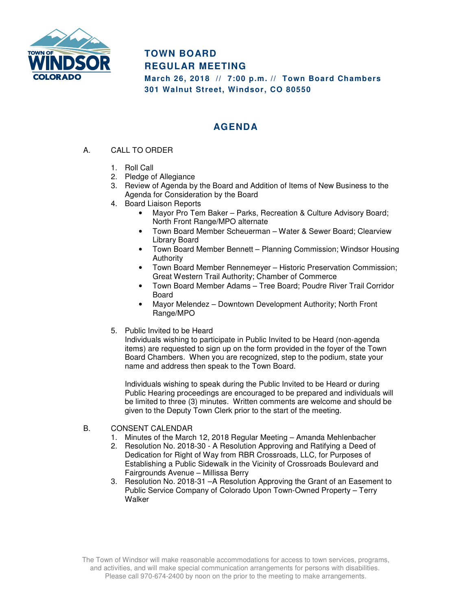

## **TOWN BOARD REGULAR MEETING**

**March 26, 2018 // 7:00 p.m. // Town Board Chambers 301 Walnut Street, Windsor, CO 80550** 

## **AGENDA**

- A. CALL TO ORDER
	- 1. Roll Call
	- 2. Pledge of Allegiance
	- 3. Review of Agenda by the Board and Addition of Items of New Business to the Agenda for Consideration by the Board
	- 4. Board Liaison Reports
		- Mayor Pro Tem Baker Parks, Recreation & Culture Advisory Board; North Front Range/MPO alternate
		- Town Board Member Scheuerman Water & Sewer Board; Clearview Library Board
		- Town Board Member Bennett Planning Commission; Windsor Housing **Authority**
		- Town Board Member Rennemeyer Historic Preservation Commission; Great Western Trail Authority; Chamber of Commerce
		- Town Board Member Adams Tree Board; Poudre River Trail Corridor Board
		- Mayor Melendez Downtown Development Authority; North Front Range/MPO
	- 5. Public Invited to be Heard

Individuals wishing to participate in Public Invited to be Heard (non-agenda items) are requested to sign up on the form provided in the foyer of the Town Board Chambers. When you are recognized, step to the podium, state your name and address then speak to the Town Board.

Individuals wishing to speak during the Public Invited to be Heard or during Public Hearing proceedings are encouraged to be prepared and individuals will be limited to three (3) minutes. Written comments are welcome and should be given to the Deputy Town Clerk prior to the start of the meeting.

- B. CONSENT CALENDAR
	- 1. Minutes of the March 12, 2018 Regular Meeting Amanda Mehlenbacher
	- 2. Resolution No. 2018-30 A Resolution Approving and Ratifying a Deed of Dedication for Right of Way from RBR Crossroads, LLC, for Purposes of Establishing a Public Sidewalk in the Vicinity of Crossroads Boulevard and Fairgrounds Avenue – Millissa Berry
	- 3. Resolution No. 2018-31 –A Resolution Approving the Grant of an Easement to Public Service Company of Colorado Upon Town-Owned Property – Terry **Walker**

The Town of Windsor will make reasonable accommodations for access to town services, programs, and activities, and will make special communication arrangements for persons with disabilities. Please call 970-674-2400 by noon on the prior to the meeting to make arrangements.